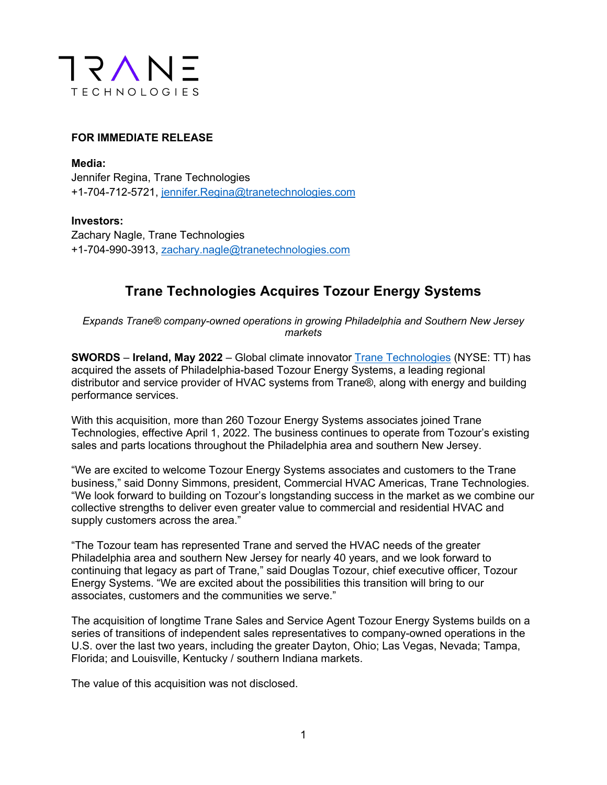

## **FOR IMMEDIATE RELEASE**

**Media:** Jennifer Regina, Trane Technologies +1-704-712-5721, jennifer.Regina@tranetechnologies.com

**Investors:** Zachary Nagle, Trane Technologies +1-704-990-3913, zachary.nagle@tranetechnologies.com

## **Trane Technologies Acquires Tozour Energy Systems**

*Expands Trane® company-owned operations in growing Philadelphia and Southern New Jersey markets*

**SWORDS** – **Ireland, May 2022** – Global climate innovator Trane Technologies (NYSE: TT) has acquired the assets of Philadelphia-based Tozour Energy Systems, a leading regional distributor and service provider of HVAC systems from Trane®, along with energy and building performance services.

With this acquisition, more than 260 Tozour Energy Systems associates joined Trane Technologies, effective April 1, 2022. The business continues to operate from Tozour's existing sales and parts locations throughout the Philadelphia area and southern New Jersey.

"We are excited to welcome Tozour Energy Systems associates and customers to the Trane business," said Donny Simmons, president, Commercial HVAC Americas, Trane Technologies. "We look forward to building on Tozour's longstanding success in the market as we combine our collective strengths to deliver even greater value to commercial and residential HVAC and supply customers across the area."

"The Tozour team has represented Trane and served the HVAC needs of the greater Philadelphia area and southern New Jersey for nearly 40 years, and we look forward to continuing that legacy as part of Trane," said Douglas Tozour, chief executive officer, Tozour Energy Systems. "We are excited about the possibilities this transition will bring to our associates, customers and the communities we serve."

The acquisition of longtime Trane Sales and Service Agent Tozour Energy Systems builds on a series of transitions of independent sales representatives to company-owned operations in the U.S. over the last two years, including the greater Dayton, Ohio; Las Vegas, Nevada; Tampa, Florida; and Louisville, Kentucky / southern Indiana markets.

The value of this acquisition was not disclosed.